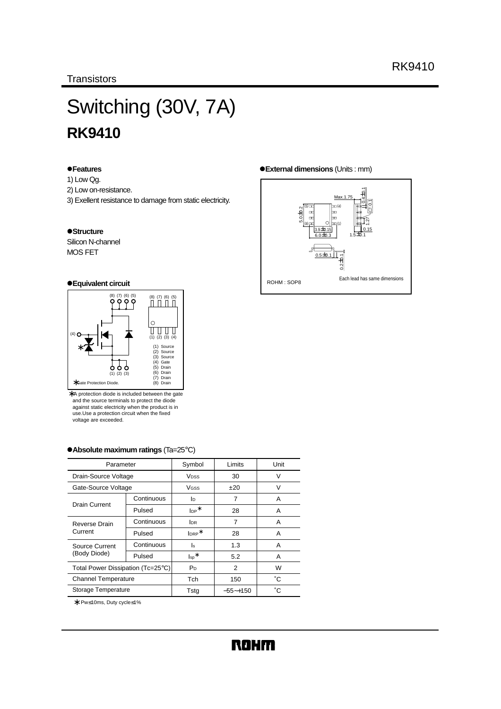# Switching (30V, 7A) **RK9410**

#### z**Features**

- 1) Low Qg.
- 2) Low on-resistance.
- 3) Exellent resistance to damage from static electricity.

#### $\bullet$ **Structure**

Silicon N-channel MOS FET

#### z**Equivalent circuit**



∗ A protection diode is included between the gate and the source terminals to protect the diode against static electricity when the product is in use.Use a protection circuit when the fixed voltage are exceeded.

#### z**Absolute maximum ratings** (Ta=25°C)

| Parameter                         |                   | Symbol                       | Limits         | Unit |
|-----------------------------------|-------------------|------------------------------|----------------|------|
| Drain-Source Voltage              |                   | <b>V</b> <sub>DSS</sub>      | 30             | v    |
| Gate-Source Voltage               |                   | VGSS                         | ±20            | V    |
| Drain Current                     | Continuous        | lo.                          | 7              | A    |
|                                   | Pulsed            | $\mathsf{I}_{\mathsf{DP}}^*$ | 28             | A    |
| Reverse Drain                     | Continuous        | <b>I</b> DR                  | 7              | Α    |
| Current                           | $Iner*$<br>Pulsed | 28                           | A              |      |
| Source Current                    | Continuous        | ls                           | 1.3            | A    |
| (Body Diode)                      | Pulsed            | $\mathsf{I}_{\mathsf{sp}}^*$ | 5.2            | A    |
| Total Power Dissipation (Tc=25°C) |                   | P <sub>D</sub>               | $\overline{2}$ | W    |
| <b>Channel Temperature</b>        |                   | <b>Tch</b>                   | 150            | °С   |
| Storage Temperature               |                   | Tstg                         | $-55 - +150$   | °С   |

∗ Pw≤10ms, Duty cycle≤1%

#### z**External dimensions** (Units : mm)

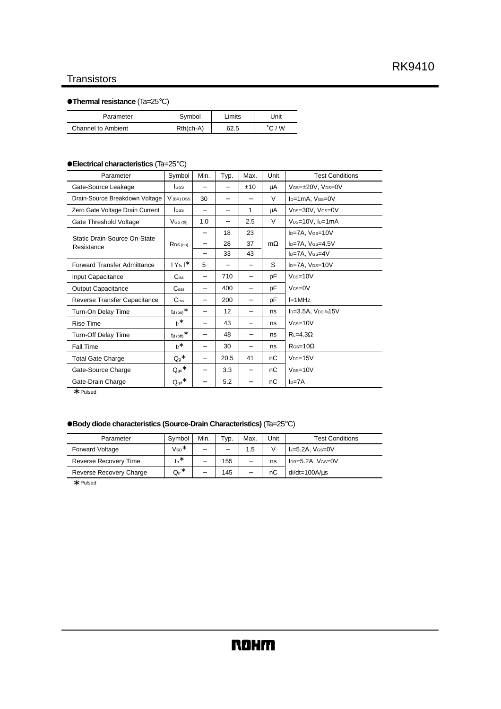# **Transistors**

# z**Thermal resistance** (Ta=25°C)

| Parameter                 | Symbol      | ∟imits | Jnit   |
|---------------------------|-------------|--------|--------|
| <b>Channel to Ambient</b> | $Rth(ch-A)$ | 62.5   | °C / W |

### z**Electrical characteristics** (Ta=25°C)

| Parameter                          | Symbol                         | Min.                     | Typ. | Max.                     | Unit      | <b>Test Conditions</b>                    |
|------------------------------------|--------------------------------|--------------------------|------|--------------------------|-----------|-------------------------------------------|
| Gate-Source Leakage                | <b>I</b> GSS                   |                          |      | ±10                      | μA        | VGS=±20V, VDS=0V                          |
| Drain-Source Breakdown Voltage     | $V$ (BR) DSS                   | 30                       | -    |                          | $\vee$    | I <sub>D</sub> =1mA, V <sub>GS</sub> =0V  |
| Zero Gate Voltage Drain Current    | <b>l</b> pss                   | -                        |      | 1                        | μA        | V <sub>DS</sub> =30V, V <sub>GS</sub> =0V |
| Gate Threshold Voltage             | $V$ <sub>GS</sub> $(h)$        | 1.0                      |      | 2.5                      | V         | $V_{DS=10V}$ , $I_{D=1}$ mA               |
| Static Drain-Source On-State       |                                | $\overline{\phantom{0}}$ | 18   | 23                       |           | I <sub>D</sub> =7A, V <sub>GS</sub> =10V  |
| Resistance                         | $R_{DS(on)}$                   | -                        | 28   | 37                       | $m\Omega$ | ID=7A, VGS=4.5V                           |
|                                    |                                | -                        | 33   | 43                       |           | I <sub>D</sub> =7A, V <sub>GS</sub> =4V   |
| <b>Forward Transfer Admittance</b> | $ Y_{fs} ^*$                   | 5                        |      | -                        | S         | I <sub>D</sub> =7A, V <sub>DS</sub> =10V  |
| Input Capacitance                  | $C$ <sub>iss</sub>             | $\qquad \qquad -$        | 710  | $\qquad \qquad -$        | рF        | $V_{DS=10V}$                              |
| <b>Output Capacitance</b>          | $\mathrm{C}_{\mathrm{oss}}$    |                          | 400  | $\qquad \qquad -$        | рF        | $V$ $(s=0$                                |
| Reverse Transfer Capacitance       | C <sub>rss</sub>               | $\overline{\phantom{0}}$ | 200  | $\overline{\phantom{0}}$ | рF        | $f = 1$ MHz                               |
| Turn-On Delay Time                 | $t$ d (on) $*$                 | -                        | 12   | $\overline{\phantom{0}}$ | ns        | $I_D=3.5A$ , $V_{DD}=15V$                 |
| <b>Rise Time</b>                   | $tr^*$                         | -                        | 43   | $\overline{\phantom{0}}$ | ns        | $V$ $(s = 10V$                            |
| Turn-Off Delay Time                | $t_{\rm d}$ (off) $^*$         | -                        | 48   | $\overline{\phantom{0}}$ | ns        | $R_{L}=4.3\Omega$                         |
| Fall Time                          | $t_f$ *                        | $\overline{\phantom{0}}$ | 30   | $\overline{\phantom{0}}$ | ns        | $R$ Gs=10 $\Omega$                        |
| <b>Total Gate Charge</b>           | $Q_g$ *                        | $\overline{\phantom{0}}$ | 20.5 | 41                       | nС        | $V_{DD}=15V$                              |
| Gate-Source Charge                 | $\mathsf{Q}_{\text{gs}}{}^*$   | -                        | 3.3  | $\qquad \qquad -$        | nC        | $V$ Gs=10 $V$                             |
| Gate-Drain Charge                  | $\mathsf{Q}_{\mathsf{gd}}{}^*$ | -                        | 5.2  | -                        | nС        | $ID=7A$                                   |

∗ Pulsed

# z**Body diode characteristics (Source-Drain Characteristics)** (Ta=25°C)

| Parameter                    | Symbol                    | Min.                     | Typ. | Max.                     | Unit | <b>Test Conditions</b>    |
|------------------------------|---------------------------|--------------------------|------|--------------------------|------|---------------------------|
| <b>Forward Voltage</b>       | $\mathsf{V}\mathsf{sp}^*$ | -                        | -    | 1.5                      |      | $Is=5.2A$ , $V$ $(s=0$ V  |
| <b>Reverse Recovery Time</b> | $tr^*$                    | $\overline{\phantom{0}}$ | 155  | $\overline{\phantom{0}}$ | ns   | $IDR = 5.2A$ , $VGS = 0V$ |
| Reverse Recovery Charge      | $Q_{rr}$ *                | -                        | 145  | $\overline{\phantom{0}}$ | nC   | $di/dt = 100A/us$         |

∗ Pulsed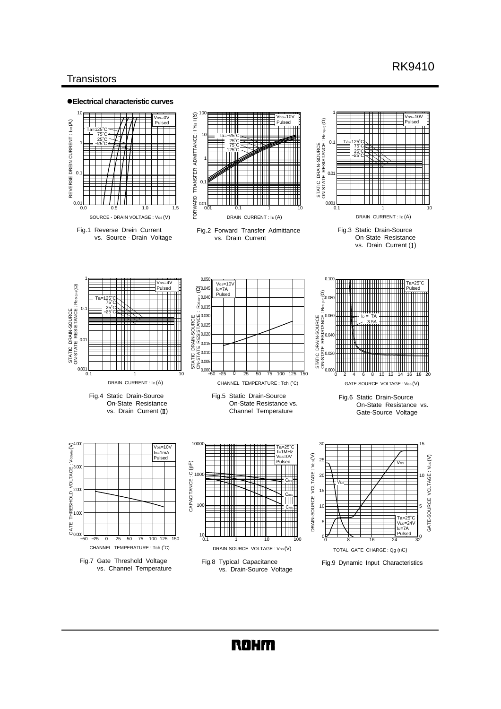# **Transistors**



# **ROHM**